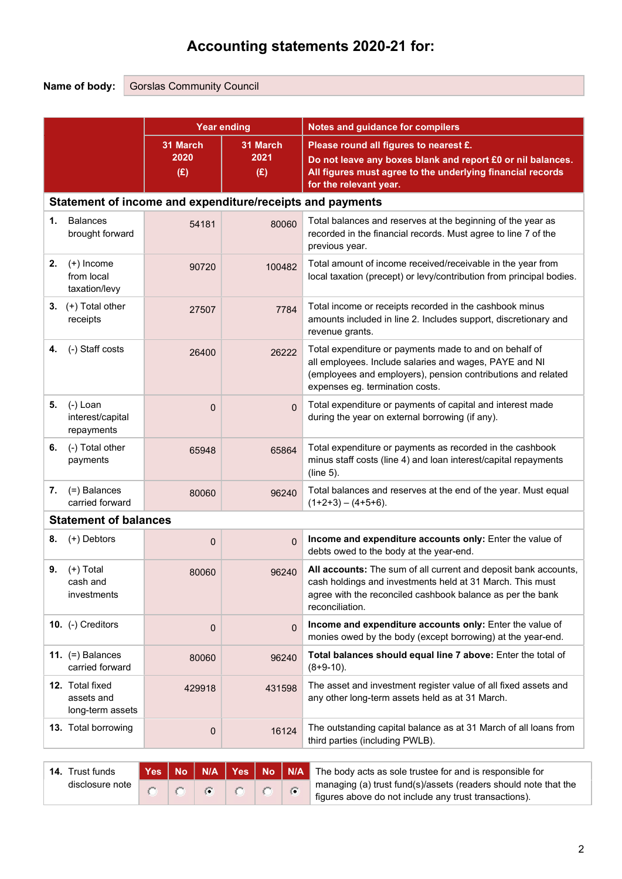# Accounting statements 2020-21 for:

Name of body: Gorslas Community Council

|    |                                                    | <b>Year ending</b> |                                                           | <b>Notes and guidance for compilers</b>                                                                                                                                                                             |  |  |  |  |  |
|----|----------------------------------------------------|--------------------|-----------------------------------------------------------|---------------------------------------------------------------------------------------------------------------------------------------------------------------------------------------------------------------------|--|--|--|--|--|
|    | 31 March<br>31 March<br>2021<br>2020<br>(E)<br>(E) |                    |                                                           | Please round all figures to nearest £.<br>Do not leave any boxes blank and report £0 or nil balances.<br>All figures must agree to the underlying financial records<br>for the relevant year.                       |  |  |  |  |  |
|    |                                                    |                    | Statement of income and expenditure/receipts and payments |                                                                                                                                                                                                                     |  |  |  |  |  |
| 1. | <b>Balances</b><br>brought forward                 | 54181              | 80060                                                     | Total balances and reserves at the beginning of the year as<br>recorded in the financial records. Must agree to line 7 of the<br>previous year.                                                                     |  |  |  |  |  |
| 2. | $(+)$ Income<br>from local<br>taxation/levy        | 90720              | 100482                                                    | Total amount of income received/receivable in the year from<br>local taxation (precept) or levy/contribution from principal bodies.                                                                                 |  |  |  |  |  |
| 3. | (+) Total other<br>receipts                        | 27507              | 7784                                                      | Total income or receipts recorded in the cashbook minus<br>amounts included in line 2. Includes support, discretionary and<br>revenue grants.                                                                       |  |  |  |  |  |
| 4. | (-) Staff costs                                    | 26400              | 26222                                                     | Total expenditure or payments made to and on behalf of<br>all employees. Include salaries and wages, PAYE and NI<br>(employees and employers), pension contributions and related<br>expenses eg. termination costs. |  |  |  |  |  |
| 5. | (-) Loan<br>interest/capital<br>repayments         | $\mathbf{0}$       | $\mathbf{0}$                                              | Total expenditure or payments of capital and interest made<br>during the year on external borrowing (if any).                                                                                                       |  |  |  |  |  |
| 6. | (-) Total other<br>payments                        | 65948              | 65864                                                     | Total expenditure or payments as recorded in the cashbook<br>minus staff costs (line 4) and loan interest/capital repayments<br>(line 5).                                                                           |  |  |  |  |  |
| 7. | (=) Balances<br>carried forward                    | 80060              | 96240                                                     | Total balances and reserves at the end of the year. Must equal<br>$(1+2+3) - (4+5+6)$ .                                                                                                                             |  |  |  |  |  |
|    | <b>Statement of balances</b>                       |                    |                                                           |                                                                                                                                                                                                                     |  |  |  |  |  |
| 8. | (+) Debtors                                        | $\mathbf 0$        | $\overline{0}$                                            | Income and expenditure accounts only: Enter the value of<br>debts owed to the body at the year-end.                                                                                                                 |  |  |  |  |  |
| 9. | $(+)$ Total<br>cash and<br>investments             | 80060              | 96240                                                     | All accounts: The sum of all current and deposit bank accounts,<br>cash holdings and investments held at 31 March. This must<br>agree with the reconciled cashbook balance as per the bank<br>reconciliation.       |  |  |  |  |  |
|    | 10. (-) Creditors                                  | $\mathbf{0}$       | $\mathbf{0}$                                              | Income and expenditure accounts only: Enter the value of<br>monies owed by the body (except borrowing) at the year-end.                                                                                             |  |  |  |  |  |
|    | 11. $(=)$ Balances<br>carried forward              | 80060              | 96240                                                     | Total balances should equal line 7 above: Enter the total of<br>$(8+9-10)$ .                                                                                                                                        |  |  |  |  |  |
|    | 12. Total fixed<br>assets and<br>long-term assets  | 429918             | 431598                                                    | The asset and investment register value of all fixed assets and<br>any other long-term assets held as at 31 March.                                                                                                  |  |  |  |  |  |
|    | <b>13.</b> Total borrowing                         | 0                  | 16124                                                     | The outstanding capital balance as at 31 March of all loans from<br>third parties (including PWLB).                                                                                                                 |  |  |  |  |  |
|    |                                                    |                    |                                                           |                                                                                                                                                                                                                     |  |  |  |  |  |

| <b>14.</b> Trust funds |  |  |    |  | Yes No N/A Yes No N/A The body acts as sole trustee for and is responsible for |
|------------------------|--|--|----|--|--------------------------------------------------------------------------------|
| disclosure note        |  |  | 17 |  | If managing (a) trust fund(s)/assets (readers should note that the             |
|                        |  |  |    |  | figures above do not include any trust transactions).                          |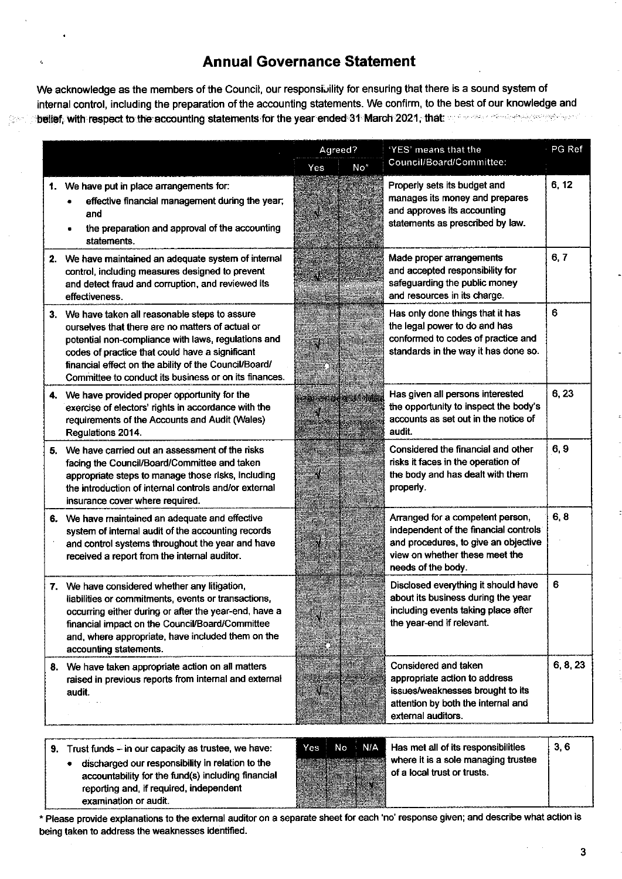### **Annual Governance Statement**

We acknowledge as the members of the Council, our responsibility for ensuring that there is a sound system of internal control, including the preparation of the accounting statements. We confirm, to the best of our knowledge and belief, with respect to the accounting statements for the year ended 31 March 2021, that we are conservated with

|    |                                                                                                                                                                                                                                                                                                                                 |     | Agreed?               | 'YES' means that the                                                                                                                                                      | PG Ref   |
|----|---------------------------------------------------------------------------------------------------------------------------------------------------------------------------------------------------------------------------------------------------------------------------------------------------------------------------------|-----|-----------------------|---------------------------------------------------------------------------------------------------------------------------------------------------------------------------|----------|
|    |                                                                                                                                                                                                                                                                                                                                 | Yes | No <sup>*</sup>       | Council/Board/Committee:                                                                                                                                                  |          |
|    | 1. We have put in place arrangements for:<br>effective financial management during the year;<br>and<br>the preparation and approval of the accounting<br>statements.                                                                                                                                                            |     |                       | Properly sets its budget and<br>manages its money and prepares<br>and approves its accounting<br>statements as prescribed by law.                                         | 6, 12    |
| 2. | We have maintained an adequate system of internal<br>control, including measures designed to prevent<br>and detect fraud and corruption, and reviewed its<br>effectiveness.                                                                                                                                                     |     |                       | Made proper arrangements<br>and accepted responsibility for<br>safeguarding the public money<br>and resources in its charge.                                              | 6, 7     |
|    | 3. We have taken all reasonable steps to assure<br>ourselves that there are no matters of actual or<br>potential non-compliance with laws, regulations and<br>codes of practice that could have a significant<br>financial effect on the ability of the Council/Board/<br>Committee to conduct its business or on its finances. |     |                       | Has only done things that it has<br>the legal power to do and has<br>conformed to codes of practice and<br>standards in the way it has done so.                           | 6        |
|    | 4. We have provided proper opportunity for the<br>exercise of electors' rights in accordance with the<br>requirements of the Accounts and Audit (Wales)<br>Regulations 2014.                                                                                                                                                    |     | <b>PALISHAN LENAS</b> | Has given all persons interested<br>the opportunity to inspect the body's<br>accounts as set out in the notice of<br>audit.                                               | 6,23     |
| 5. | We have carried out an assessment of the risks<br>facing the Council/Board/Committee and taken<br>appropriate steps to manage those risks, including<br>the introduction of internal controls and/or external<br>insurance cover where required.                                                                                |     |                       | Considered the financial and other<br>risks it faces in the operation of<br>the body and has dealt with them<br>properly.                                                 | 6, 9     |
| 6. | We have maintained an adequate and effective<br>system of internal audit of the accounting records<br>and control systems throughout the year and have<br>received a report from the internal auditor.                                                                                                                          |     |                       | Arranged for a competent person,<br>independent of the financial controls<br>and procedures, to give an objective<br>view on whether these meet the<br>needs of the body. | 6, 8     |
|    | 7. We have considered whether any litigation,<br>liabilities or commitments, events or transactions,<br>occurring either during or after the year-end, have a<br>financial impact on the Council/Board/Committee<br>and, where appropriate, have included them on the<br>accounting statements.                                 |     |                       | Disclosed everything it should have<br>about its business during the year<br>including events taking place after<br>the year-end if relevant.                             | 6        |
| 8. | We have taken appropriate action on all matters<br>raised in previous reports from internal and external<br>audit.                                                                                                                                                                                                              |     |                       | Considered and taken<br>appropriate action to address<br>issues/weaknesses brought to its<br>attention by both the internal and<br>external auditors.                     | 6, 8, 23 |

9. Trust funds - in our capacity as trustee, we have:

 $\bigcup_{i\in\mathcal{I}}\mathcal{H}^{(i)}$  .

discharged our responsibility in relation to the  $\bullet$ accountability for the fund(s) including financial reporting and, if required, independent examination or audit.



 $3, 6$ Has met all of its responsibilities where it is a sole managing trustee of a local trust or trusts.

\* Please provide explanations to the external auditor on a separate sheet for each 'no' response given; and describe what action is being taken to address the weaknesses identified.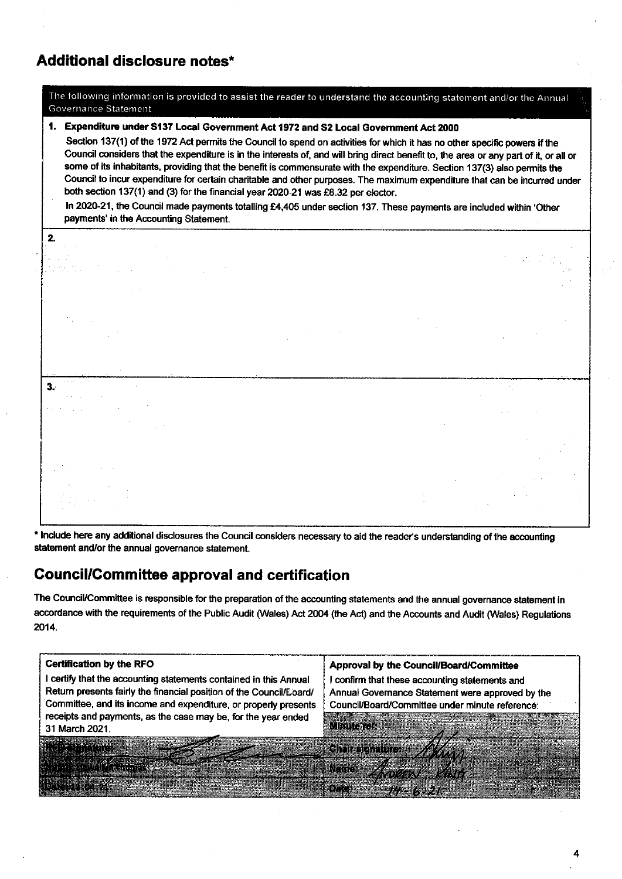# Additional disclosure notes\*

The following information is provided to assist the reader to

| Governance Statement                                                                                                                                                                                                                                                                                                                                                                                                                                                                                                                                                                                                                                                                                                                                                                                                                                                       |  |  |  |  |  |  |  |  |
|----------------------------------------------------------------------------------------------------------------------------------------------------------------------------------------------------------------------------------------------------------------------------------------------------------------------------------------------------------------------------------------------------------------------------------------------------------------------------------------------------------------------------------------------------------------------------------------------------------------------------------------------------------------------------------------------------------------------------------------------------------------------------------------------------------------------------------------------------------------------------|--|--|--|--|--|--|--|--|
| Expenditure under S137 Local Government Act 1972 and S2 Local Government Act 2000<br>Section 137(1) of the 1972 Act permits the Council to spend on activities for which it has no other specific powers if the<br>Council considers that the expenditure is in the interests of, and will bring direct benefit to, the area or any part of it, or all or<br>some of its inhabitants, providing that the benefit is commensurate with the expenditure. Section 137(3) also permits the<br>Council to incur expenditure for certain charitable and other purposes. The maximum expenditure that can be incurred under<br>both section 137(1) and (3) for the financial year 2020-21 was £8.32 per elector.<br>In 2020-21, the Council made payments totalling £4,405 under section 137. These payments are included within 'Other<br>payments' in the Accounting Statement. |  |  |  |  |  |  |  |  |
| 2.                                                                                                                                                                                                                                                                                                                                                                                                                                                                                                                                                                                                                                                                                                                                                                                                                                                                         |  |  |  |  |  |  |  |  |
|                                                                                                                                                                                                                                                                                                                                                                                                                                                                                                                                                                                                                                                                                                                                                                                                                                                                            |  |  |  |  |  |  |  |  |
|                                                                                                                                                                                                                                                                                                                                                                                                                                                                                                                                                                                                                                                                                                                                                                                                                                                                            |  |  |  |  |  |  |  |  |
|                                                                                                                                                                                                                                                                                                                                                                                                                                                                                                                                                                                                                                                                                                                                                                                                                                                                            |  |  |  |  |  |  |  |  |
|                                                                                                                                                                                                                                                                                                                                                                                                                                                                                                                                                                                                                                                                                                                                                                                                                                                                            |  |  |  |  |  |  |  |  |
| $\mathbf{3}$                                                                                                                                                                                                                                                                                                                                                                                                                                                                                                                                                                                                                                                                                                                                                                                                                                                               |  |  |  |  |  |  |  |  |
|                                                                                                                                                                                                                                                                                                                                                                                                                                                                                                                                                                                                                                                                                                                                                                                                                                                                            |  |  |  |  |  |  |  |  |
|                                                                                                                                                                                                                                                                                                                                                                                                                                                                                                                                                                                                                                                                                                                                                                                                                                                                            |  |  |  |  |  |  |  |  |

والجامع ومعاملته

\* Include here any additional disclosures the Council considers necessary to aid the reader's understanding of the accounting statement and/or the annual governance statement.

### **Council/Committee approval and certification**

The Council/Committee is responsible for the preparation of the accounting statements and the annual governance statement in accordance with the requirements of the Public Audit (Wales) Act 2004 (the Act) and the Accounts and Audit (Wales) Regulations 2014.

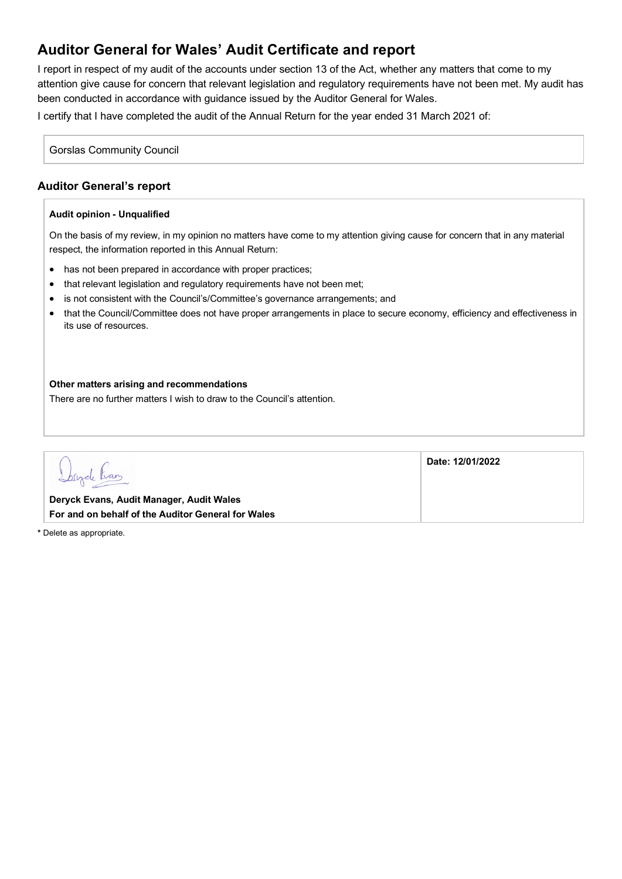# **Auditor General for Wales' Audit Certificate and report**

I report in respect of my audit of the accounts under section 13 of the Act, whether any matters that come to my attention give cause for concern that relevant legislation and regulatory requirements have not been met. My audit has been conducted in accordance with guidance issued by the Auditor General for Wales.

I certify that I have completed the audit of the Annual Return for the year ended 31 March 2021 of:

Gorslas Community Council

### **Auditor General's report**

#### **Audit opinion - Unqualified**

On the basis of my review, in my opinion no matters have come to my attention giving cause for concern that in any material respect, the information reported in this Annual Return:

- has not been prepared in accordance with proper practices;
- that relevant legislation and regulatory reguirements have not been met;
- is not consistent with the Council's/Committee's governance arrangements; and
- that the Council/Committee does not have proper arrangements in place to secure economy, efficiency and effectiveness in its use of resources.

#### **Other matters arising and recommendations**

There are no further matters I wish to draw to the Council's attention.

|                                                                                                | Date: 12/01/2022 |
|------------------------------------------------------------------------------------------------|------------------|
| Deryck Evans, Audit Manager, Audit Wales<br>For and on behalf of the Auditor General for Wales |                  |

**\*** Delete as appropriate.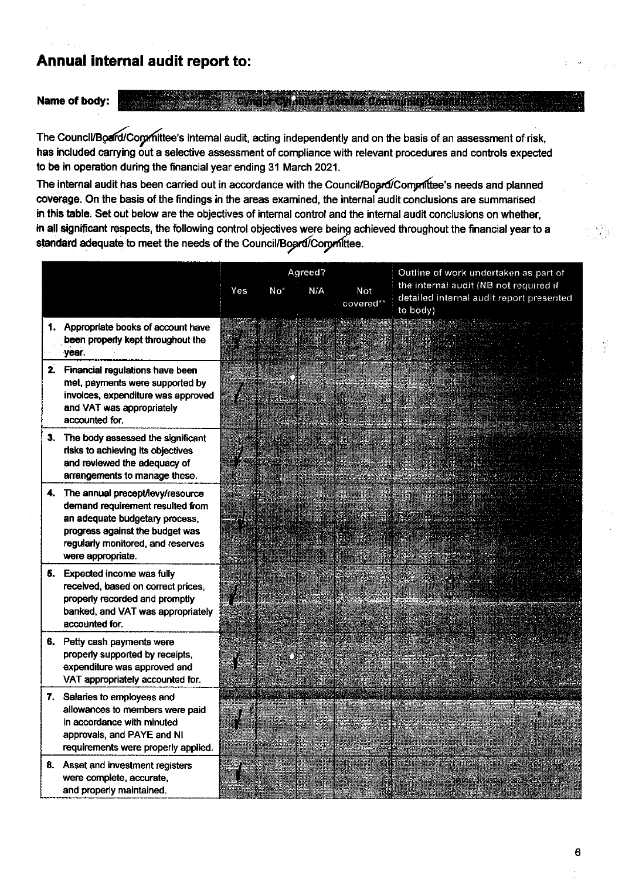# Annual internal audit report to:

### Name of body:

Cuite a cuite de companiente de l'a

The Council/Board/Corpmittee's internal audit, acting independently and on the basis of an assessment of risk, has included carrying out a selective assessment of compliance with relevant procedures and controls expected to be in operation during the financial year ending 31 March 2021.

The internal audit has been carried out in accordance with the Council/Board/Compriftee's needs and planned coverage. On the basis of the findings in the areas examined, the internal audit conclusions are summarised in this table. Set out below are the objectives of internal control and the internal audit conclusions on whether, in all significant respects, the following control objectives were being achieved throughout the financial year to a standard adequate to meet the needs of the Council/Board/Corprittee.

|                                                                                                                                                                                                        | Agreed?    |     |     |                  | Outline of work undertaken as part of                                                          |  |
|--------------------------------------------------------------------------------------------------------------------------------------------------------------------------------------------------------|------------|-----|-----|------------------|------------------------------------------------------------------------------------------------|--|
|                                                                                                                                                                                                        | <b>Yes</b> | No* | N/A | Not<br>covered** | the internal audit (NB not required if<br>detailed internal audit report presented<br>to body) |  |
| 1. Appropriate books of account have<br>been properly kept throughout the<br>year.                                                                                                                     |            |     |     |                  |                                                                                                |  |
| 2. Financial regulations have been<br>met, payments were supported by<br>invoices, expenditure was approved<br>and VAT was appropriately<br>accounted for.                                             |            |     |     |                  |                                                                                                |  |
| 3. The body assessed the significant<br>risks to achieving its objectives<br>and reviewed the adequacy of<br>arrangements to manage these.                                                             |            |     |     |                  |                                                                                                |  |
| 4. The annual precept/levy/resource<br>demand requirement resulted from<br>an adequate budgetary process.<br>progress against the budget was<br>regularly monitored, and reserves<br>were appropriate. |            |     |     |                  |                                                                                                |  |
| 5. Expected income was fully<br>received, based on correct prices,<br>properly recorded and promptly<br>banked, and VAT was appropriately<br>accounted for.                                            |            |     |     |                  |                                                                                                |  |
| 6. Petty cash payments were<br>properly supported by receipts,<br>expenditure was approved and<br>VAT appropriately accounted for.                                                                     |            |     |     |                  |                                                                                                |  |
| 7. Salaries to employees and<br>allowances to members were paid<br>in accordance with minuted<br>approvals, and PAYE and NI<br>requirements were properly applied.                                     |            |     |     |                  |                                                                                                |  |
| 8. Asset and investment registers<br>were complete, accurate,<br>and properly maintained.                                                                                                              |            |     |     |                  |                                                                                                |  |